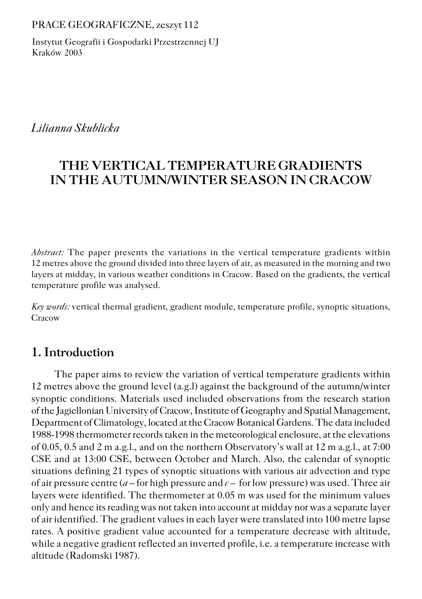#### PRACE GEOGRAFICZNE, zeszyt 112

Instytut Geografii i Gospodarki Przestrzennej UJ Kraków 2003

## *Lilianna Skublicka*

# **THE VERTICAL TEMPERATURE GRADIENTS IN THE AUTUMN/WINTER SEASON IN CRACOW**

*Abstract:* The paper presents the variations in the vertical temperature gradients within 12 metres above the ground divided into three layers of air, as measured in the morning and two layers at midday, in various weather conditions in Cracow. Based on the gradients, the vertical temperature profile was analysed.

*Key words:* vertical thermal gradient, gradient module, temperature profile, synoptic situations, Cracow

# **1. Introduction**

The paper aims to review the variation of vertical temperature gradients within 12 metres above the ground level (a.g.l) against the background of the autumn/winter synoptic conditions. Materials used included observations from the research station of the Jagiellonian University of Cracow, Institute of Geography and Spatial Management, Department of Climatology, located at the Cracow Botanical Gardens. The data included 1988−1998 thermometer records taken in the meteorological enclosure, at the elevations of 0.05, 0.5 and 2 m a.g.l., and on the northern Observatory's wall at 12 m a.g.l., at 7:00 CSE and at 13:00 CSE, between October and March. Also, the calendar of synoptic situations defining 21 types of synoptic situations with various air advection and type of air pressure centre (*a* – for high pressure and *c –* for low pressure) was used. Three air layers were identified. The thermometer at 0.05 m was used for the minimum values only and hence its reading was not taken into account at midday nor was a separate layer of air identified. The gradient values in each layer were translated into 100 metre lapse rates. A positive gradient value accounted for a temperature decrease with altitude, while a negative gradient reflected an inverted profile, i.e. a temperature increase with altitude (Radomski 1987).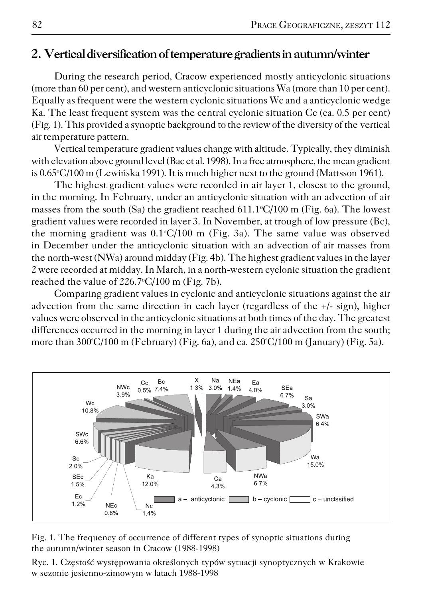### **2. Vertical diversification of temperature gradients in autumn/winter**

During the research period, Cracow experienced mostly anticyclonic situations (more than 60 per cent), and western anticyclonic situations Wa (more than 10 per cent). Equally as frequent were the western cyclonic situations Wc and a anticyclonic wedge Ka. The least frequent system was the central cyclonic situation Cc (ca. 0.5 per cent) (Fig. 1). This provided a synoptic background to the review of the diversity of the vertical air temperature pattern.

Vertical temperature gradient values change with altitude. Typically, they diminish with elevation above ground level (Bac et al. 1998). In a free atmosphere, the mean gradient is 0.65°C/100 m (Lewińska 1991). It is much higher next to the ground (Mattsson 1961).

The highest gradient values were recorded in air layer 1, closest to the ground, in the morning. In February, under an anticyclonic situation with an advection of air masses from the south (Sa) the gradient reached  $611.1\degree$ C/100 m (Fig. 6a). The lowest gradient values were recorded in layer 3. In November, at trough of low pressure (Bc), the morning gradient was  $0.1^{\circ}C/100$  m (Fig. 3a). The same value was observed in December under the anticyclonic situation with an advection of air masses from the north-west (NWa) around midday (Fig. 4b). The highest gradient values in the layer 2 were recorded at midday. In March, in a north−western cyclonic situation the gradient reached the value of  $226.7^{\circ}C/100$  m (Fig. 7b).

Comparing gradient values in cyclonic and anticyclonic situations against the air advection from the same direction in each layer (regardless of the +/− sign), higher values were observed in the anticyclonic situations at both times of the day. The greatest differences occurred in the morning in layer 1 during the air advection from the south; more than  $300^{\circ}C/100$  m (February) (Fig. 6a), and ca.  $250^{\circ}C/100$  m (January) (Fig. 5a).



Fig. 1. The frequency of occurrence of different types of synoptic situations during the autumn/winter season in Cracow (1988−1998)

Ryc. 1. Częstość występowania określonych typów sytuacji synoptycznych w Krakowie w sezonie jesienno−zimowym w latach 1988−1998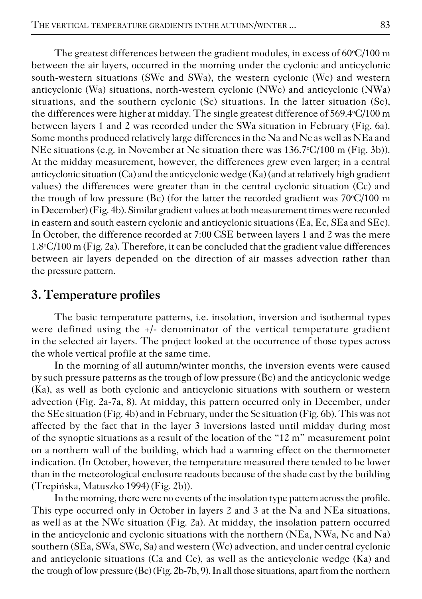The greatest differences between the gradient modules, in excess of  $60^{\circ}C/100$  m between the air layers, occurred in the morning under the cyclonic and anticyclonic south−western situations (SWc and SWa), the western cyclonic (Wc) and western anticyclonic (Wa) situations, north−western cyclonic (NWc) and anticyclonic (NWa) situations, and the southern cyclonic (Sc) situations. In the latter situation (Sc), the differences were higher at midday. The single greatest difference of 569.4°C/100 m between layers 1 and 2 was recorded under the SWa situation in February (Fig. 6a). Some months produced relatively large differences in the Na and Nc as well as NEa and NEc situations (e.g. in November at Nc situation there was 136.7°C/100 m (Fig. 3b)). Atthe midday measurement, however, the differences grew even larger; in a central anticyclonic situation  $(Ca)$  and the anticyclonic wedge  $(Ka)$  (and at relatively high gradient values) the differences were greater than in the central cyclonic situation (Cc) and the trough of low pressure (Bc) (for the latter the recorded gradient was  $70^{\circ}$ C/100 m in December) (Fig. 4b). Similar gradient values at both measurement times were recorded in eastern and south eastern cyclonic and anticyclonic situations (Ea, Ec, SEa and SEc). In October, the difference recorded at 7:00 CSE between layers 1 and 2 was the mere 1.8<sup>o</sup>C/100 m (Fig. 2a). Therefore, it can be concluded that the gradient value differences between air layers depended on the direction of air masses advection rather than the pressure pattern.

#### **3. Temperature profiles**

The basic temperature patterns, i.e. insolation, inversion and isothermal types were defined using the +/− denominator of the vertical temperature gradient in the selected air layers. The project looked at the occurrence of those types across the whole vertical profile at the same time.

In the morning of all autumn/winter months, the inversion events were caused by such pressure patterns as the trough of low pressure (Bc) and the anticyclonic wedge (Ka), as well as both cyclonic and anticyclonic situations with southern or western advection (Fig. 2a−7a, 8). At midday, this pattern occurred only in December, under the SEc situation (Fig. 4b) and in February, under the Sc situation (Fig. 6b). This was not affected by the fact that in the layer 3 inversions lasted until midday during most of the synoptic situations as a result of the location of the "12 m" measurement point on a northern wall of the building, which had a warming effect on the thermometer indication. (In October, however, the temperature measured there tended to be lower than in the meteorological enclosure readouts because of the shade cast by the building (Trepińska, Matuszko 1994) (Fig. 2b)).

In the morning, there were no events of the insolation type pattern across the profile. This type occurred only in October in layers 2 and 3 at the Na and NEa situations, as well as at the NWc situation (Fig. 2a). At midday, the insolation pattern occurred in the anticyclonic and cyclonic situations with the northern (NEa, NWa, Nc and Na) southern (SEa, SWa, SWc, Sa) and western (Wc) advection, and under central cyclonic and anticyclonic situations (Ca and Cc), as well as the anticyclonic wedge (Ka) and the trough of low pressure (Bc) (Fig. 2b-7b, 9). In all those situations, apart from the northern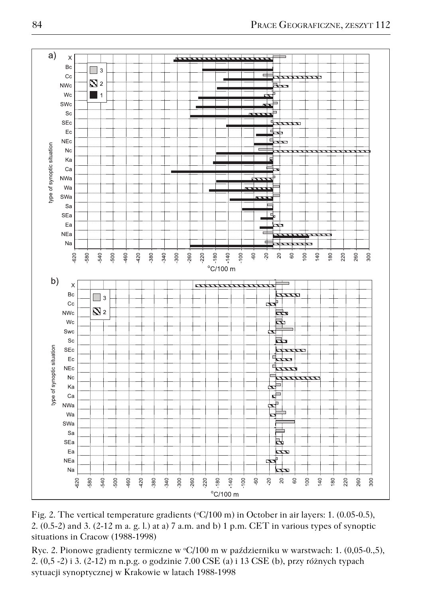

Fig. 2. The vertical temperature gradients ( $\degree$ C/100 m) in October in air layers: 1. (0.05-0.5), 2. (0.5−2) and 3. (2−12 m a. g. l.) at a) 7 a.m. and b) 1 p.m. CET in various types of synoptic situations in Cracow (1988−1998)

Ryc. 2. Pionowe gradienty termiczne w °C/100 m w październiku w warstwach: 1. (0,05-0.,5), 2. (0,5 −2) i 3. (2−12) m n.p.g. o godzinie 7.00 CSE (a) i 13 CSE (b), przy różnych typach sytuacji synoptycznej w Krakowie w latach 1988−1998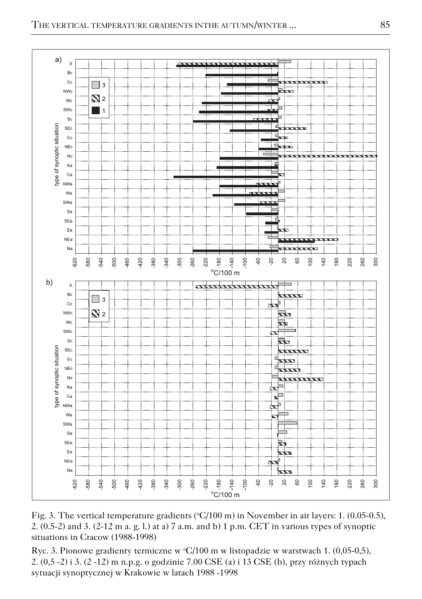

Fig. 3. The vertical temperature gradients (°C/100 m) in November in air layers: 1. (0.05−0.5), 2. (0.5−2) and 3. (2−12 m a. g. l.) at a) 7 a.m. and b) 1 p.m. CET in various types of synoptic situations in Cracow (1988−1998)

Ryc. 3. Pionowe gradienty termiczne w  $C/100$  m w listopadzie w warstwach 1. (0,05-0,5), 2. (0,5 −2) i 3. (2 −12) m n.p.g. o godzinie 7.00 CSE (a) i 13 CSE (b), przy różnych typach sytuacji synoptycznej w Krakowie w latach 1988 −1998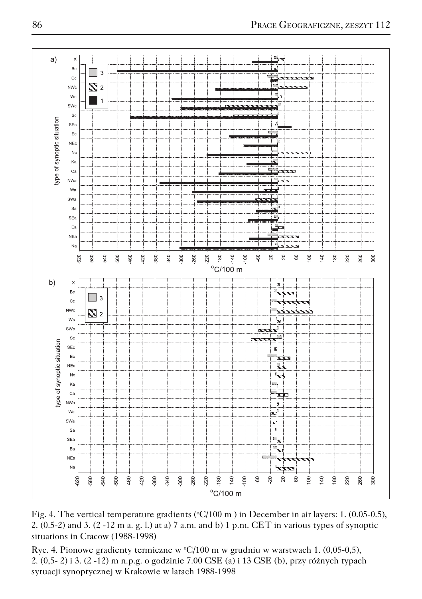

Fig. 4. The vertical temperature gradients (°C/100 m) in December in air layers: 1. (0.05−0.5), 2. (0.5−2) and 3. (2 −12 m a. g. l.) at a) 7 a.m. and b) 1 p.m. CET in various types of synoptic situations in Cracow (1988−1998)

Ryc. 4. Pionowe gradienty termiczne w °C/100 m w grudniu w warstwach 1. (0,05-0,5), 2. (0,5− 2) i 3. (2 −12) m n.p.g. o godzinie 7.00 CSE (a) i 13 CSE (b), przy różnych typach sytuacji synoptycznej w Krakowie w latach 1988−1998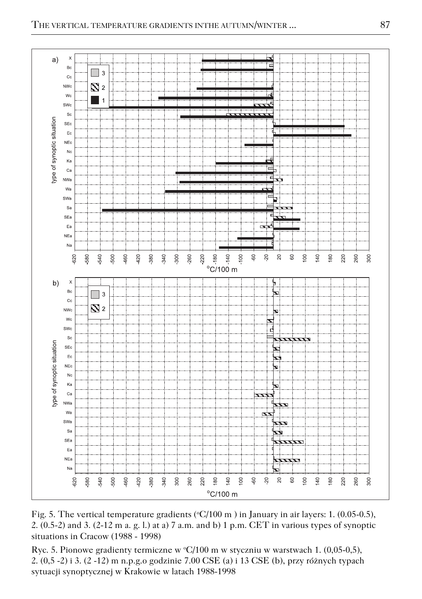

Fig. 5. The vertical temperature gradients (°C/100 m) in January in air layers: 1. (0.05-0.5), 2. (0.5−2) and 3. (2−12 m a. g. l.) at a) 7 a.m. and b) 1 p.m. CET in various types of synoptic situations in Cracow (1988 − 1998)

Ryc. 5. Pionowe gradienty termiczne w °C/100 m w styczniu w warstwach 1. (0,05-0,5), 2. (0,5 −2) i 3. (2 −12) m n.p.g.o godzinie 7.00 CSE (a) i 13 CSE (b), przy różnych typach sytuacji synoptycznej w Krakowie w latach 1988−1998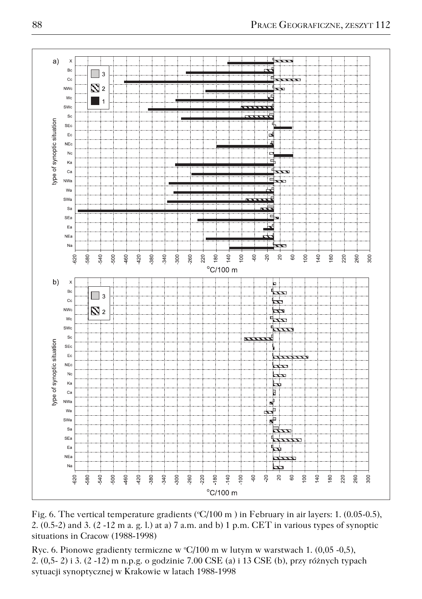

Fig. 6. The vertical temperature gradients (°C/100 m) in February in air layers: 1. (0.05-0.5), 2. (0.5−2) and 3. (2 −12 m a. g. l.) at a) 7 a.m. and b) 1 p.m. CET in various types of synoptic situations in Cracow (1988−1998)

Ryc. 6. Pionowe gradienty termiczne w °C/100 m w lutym w warstwach 1. (0,05 -0,5), 2. (0,5− 2) i 3. (2 −12) m n.p.g. o godzinie 7.00 CSE (a) i 13 CSE (b), przy różnych typach sytuacji synoptycznej w Krakowie w latach 1988−1998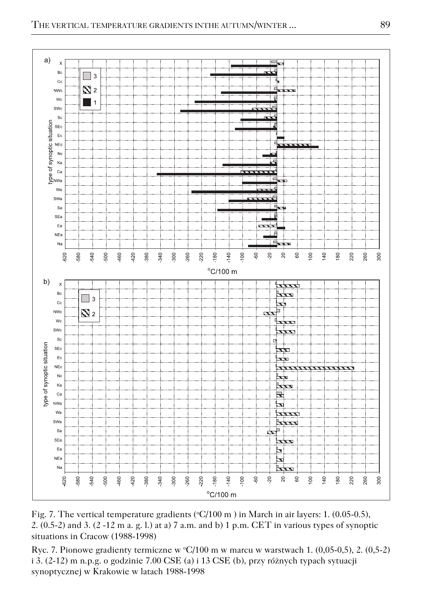

Fig. 7. The vertical temperature gradients (°C/100 m) in March in air layers: 1. (0.05-0.5), 2. (0.5−2) and 3. (2 −12 m a. g. l.) at a) 7 a.m. and b) 1 p.m. CET in various types of synoptic situations in Cracow (1988−1998)

Ryc. 7. Pionowe gradienty termiczne w °C/100 m w marcu w warstwach 1. (0,05-0,5), 2. (0,5-2) i 3. (2−12) m n.p.g. o godzinie 7.00 CSE (a) i 13 CSE (b), przy różnych typach sytuacji synoptycznej w Krakowie w latach 1988−1998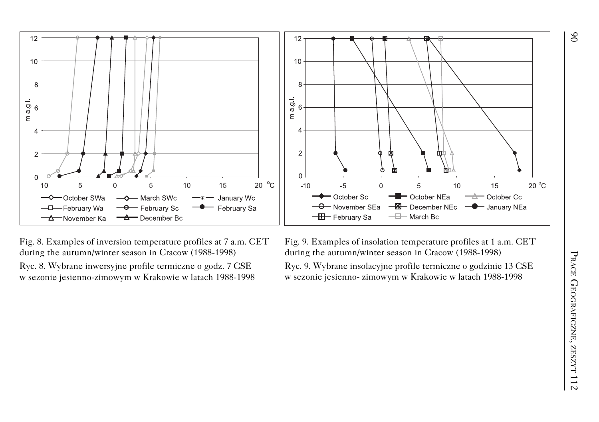

Fig. 8. Examples of inversion temperature profiles at 7 a.m. CET<br>
during the autumn/winter season in Cracow (1988-1998)<br>
Ryc. 8. Wybrane inwersyjne profile termiczne o godz, 7 CSE<br>
Ryc. 9. Wybrane insolacyjne profile term

90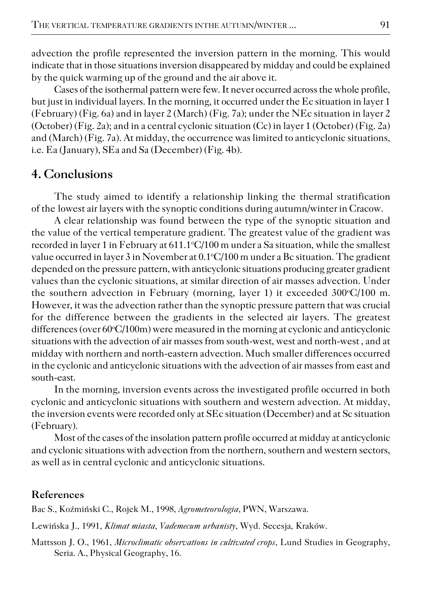advection the profile represented the inversion pattern in the morning. This would indicate that in those situations inversion disappeared by midday and could be explained by the quick warming up of the ground and the air above it.

Cases of the isothermal pattern were few. It never occurred across the whole profile, but just in individual layers. In the morning, it occurred under the Ec situation in layer 1 (February) (Fig. 6a) and in layer 2 (March) (Fig. 7a); under the NEc situation in layer 2 (October) (Fig. 2a); and in a central cyclonic situation (Cc) in layer 1 (October) (Fig. 2a) and (March) (Fig. 7a). At midday, the occurrence was limited to anticyclonic situations, i.e. Ea (January), SEa and Sa (December) (Fig. 4b).

### **4. Conclusions**

The study aimed to identify a relationship linking the thermal stratification of the lowest air layers with the synoptic conditions during autumn/winter in Cracow.

A clear relationship was found between the type of the synoptic situation and thevalue of the vertical temperature gradient. The greatest value of the gradient was recorded in layer 1 in February at 611.1°C/100 m under a Sa situation, while the smallest value occurred in layer 3 in November at  $0.1\degree\text{C}/100$  m under a Bc situation. The gradient depended on the pressure pattern, with anticyclonic situations producing greater gradient values than the cyclonic situations, at similar direction of air masses advection. Under the southern advection in February (morning, layer 1) it exceeded  $300^{\circ}C/100$  m. However, it was the advection rather than the synoptic pressure pattern that was crucial for the difference between the gradients in the selected air layers. The greatest differences (over  $60^{\circ}C/100$ m) were measured in the morning at cyclonic and anticyclonic situations with the advection of air masses from south−west, west and north−west , and at midday with northern and north−eastern advection. Much smaller differences occurred in the cyclonic and anticyclonic situations with the advection of air masses from east and south−east.

In the morning, inversion events across the investigated profile occurred in both cyclonic and anticyclonic situations with southern and western advection. At midday, the inversion events were recorded only at SEc situation (December) and at Sc situation (February).

Most of the cases of the insolation pattern profile occurred at midday at anticyclonic and cyclonic situations with advection from the northern, southern and western sectors, as well as in central cyclonic and anticyclonic situations.

#### **References**

Bac S., Koźmiński C., Rojek M., 1998, *Agrometeorologia*, PWN, Warszawa.

Lewińska J., 1991, *Klimat miasta*, *Vademecum urbanisty*, Wyd. Secesja, Kraków.

Mattsson J. O., 1961, *Microclimatic observations in cultivated crops*, Lund Studies in Geography, Seria. A., Physical Geography, 16.